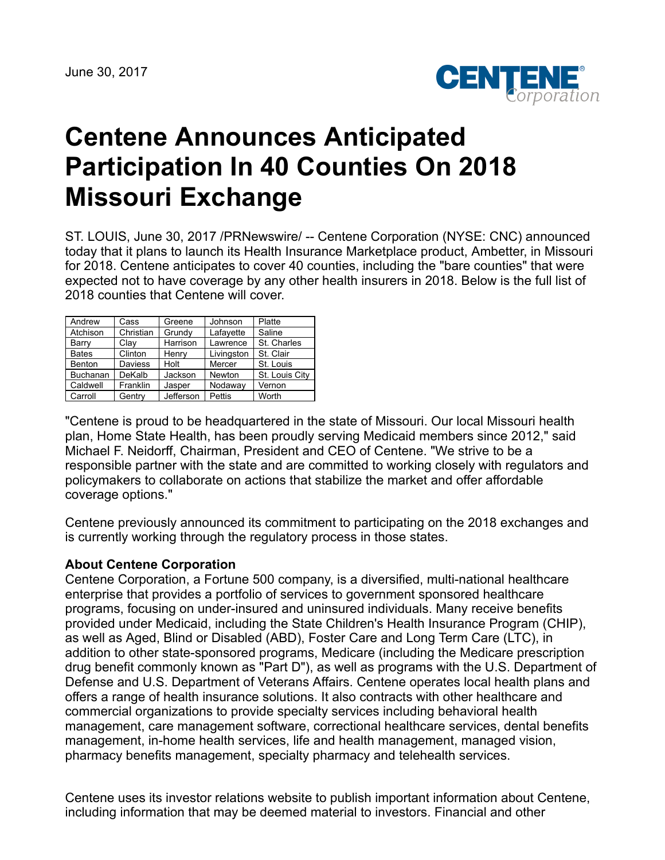

## **Centene Announces Anticipated Participation In 40 Counties On 2018 Missouri Exchange**

ST. LOUIS, June 30, 2017 /PRNewswire/ -- Centene Corporation (NYSE: CNC) announced today that it plans to launch its Health Insurance Marketplace product, Ambetter, in Missouri for 2018. Centene anticipates to cover 40 counties, including the "bare counties" that were expected not to have coverage by any other health insurers in 2018. Below is the full list of 2018 counties that Centene will cover.

| Andrew          | Cass           | Greene    | Johnson    | Platte         |
|-----------------|----------------|-----------|------------|----------------|
| Atchison        | Christian      | Grundy    | Lafayette  | Saline         |
| Barry           | Clav           | Harrison  | Lawrence   | St. Charles    |
| <b>Bates</b>    | Clinton        | Henry     | Livingston | St. Clair      |
| <b>Benton</b>   | <b>Daviess</b> | Holt      | Mercer     | St. Louis      |
| <b>Buchanan</b> | DeKalb         | Jackson   | Newton     | St. Louis City |
| Caldwell        | Franklin       | Jasper    | Nodaway    | Vernon         |
| Carroll         | Gentry         | Jefferson | Pettis     | Worth          |

"Centene is proud to be headquartered in the state of Missouri. Our local Missouri health plan, Home State Health, has been proudly serving Medicaid members since 2012," said Michael F. Neidorff, Chairman, President and CEO of Centene. "We strive to be a responsible partner with the state and are committed to working closely with regulators and policymakers to collaborate on actions that stabilize the market and offer affordable coverage options."

Centene previously announced its commitment to participating on the 2018 exchanges and is currently working through the regulatory process in those states.

## **About Centene Corporation**

Centene Corporation, a Fortune 500 company, is a diversified, multi-national healthcare enterprise that provides a portfolio of services to government sponsored healthcare programs, focusing on under-insured and uninsured individuals. Many receive benefits provided under Medicaid, including the State Children's Health Insurance Program (CHIP), as well as Aged, Blind or Disabled (ABD), Foster Care and Long Term Care (LTC), in addition to other state-sponsored programs, Medicare (including the Medicare prescription drug benefit commonly known as "Part D"), as well as programs with the U.S. Department of Defense and U.S. Department of Veterans Affairs. Centene operates local health plans and offers a range of health insurance solutions. It also contracts with other healthcare and commercial organizations to provide specialty services including behavioral health management, care management software, correctional healthcare services, dental benefits management, in-home health services, life and health management, managed vision, pharmacy benefits management, specialty pharmacy and telehealth services.

Centene uses its investor relations website to publish important information about Centene, including information that may be deemed material to investors. Financial and other